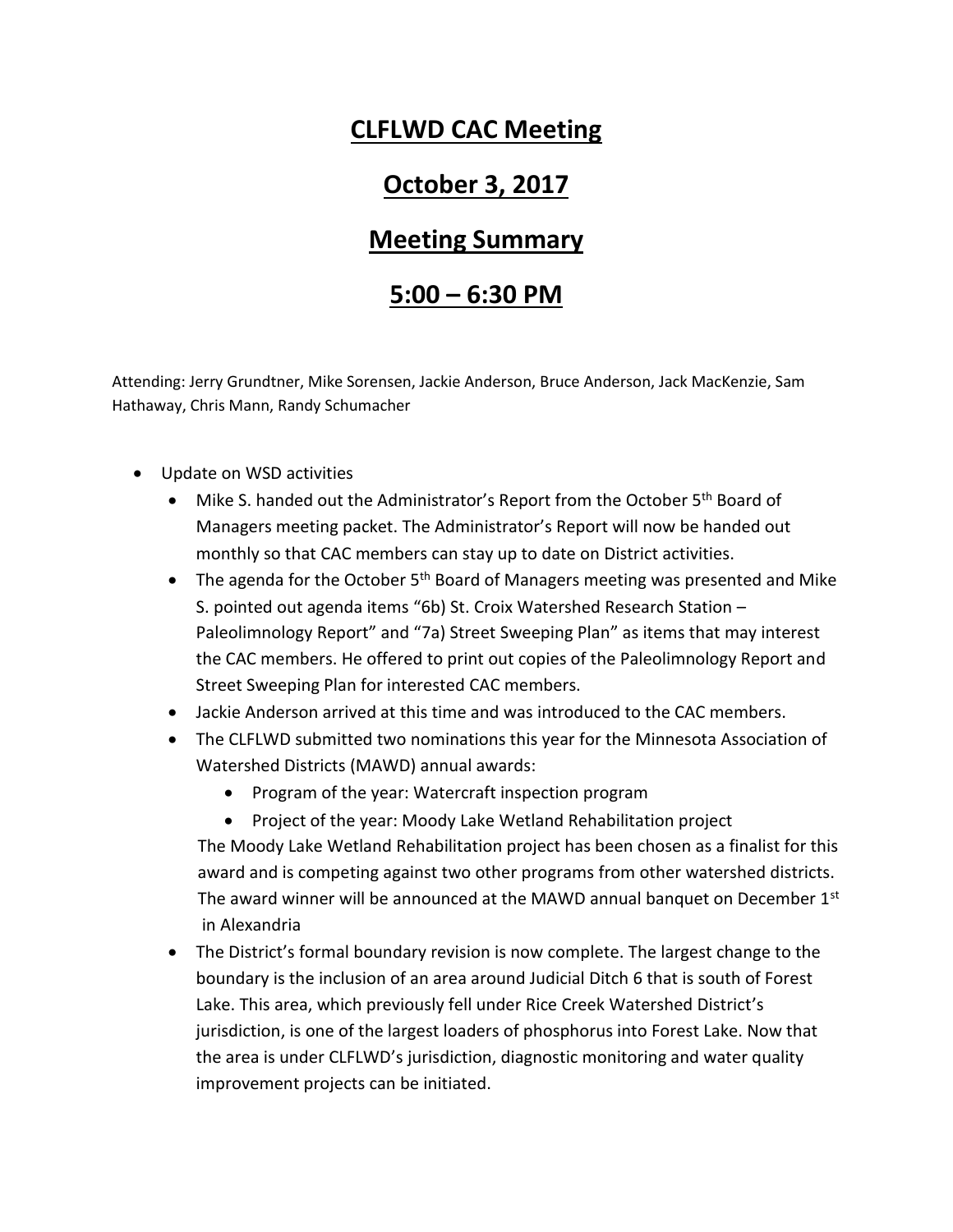## **CLFLWD CAC Meeting**

## **October 3, 2017**

## **Meeting Summary**

## **5:00 – 6:30 PM**

Attending: Jerry Grundtner, Mike Sorensen, Jackie Anderson, Bruce Anderson, Jack MacKenzie, Sam Hathaway, Chris Mann, Randy Schumacher

- Update on WSD activities
	- $\bullet$  Mike S. handed out the Administrator's Report from the October 5<sup>th</sup> Board of Managers meeting packet. The Administrator's Report will now be handed out monthly so that CAC members can stay up to date on District activities.
	- $\bullet$  The agenda for the October 5<sup>th</sup> Board of Managers meeting was presented and Mike S. pointed out agenda items "6b) St. Croix Watershed Research Station – Paleolimnology Report" and "7a) Street Sweeping Plan" as items that may interest the CAC members. He offered to print out copies of the Paleolimnology Report and Street Sweeping Plan for interested CAC members.
	- Jackie Anderson arrived at this time and was introduced to the CAC members.
	- The CLFLWD submitted two nominations this year for the Minnesota Association of Watershed Districts (MAWD) annual awards:
		- Program of the year: Watercraft inspection program
		- Project of the year: Moody Lake Wetland Rehabilitation project

 The Moody Lake Wetland Rehabilitation project has been chosen as a finalist for this award and is competing against two other programs from other watershed districts. The award winner will be announced at the MAWD annual banquet on December 1st in Alexandria

 The District's formal boundary revision is now complete. The largest change to the boundary is the inclusion of an area around Judicial Ditch 6 that is south of Forest Lake. This area, which previously fell under Rice Creek Watershed District's jurisdiction, is one of the largest loaders of phosphorus into Forest Lake. Now that the area is under CLFLWD's jurisdiction, diagnostic monitoring and water quality improvement projects can be initiated.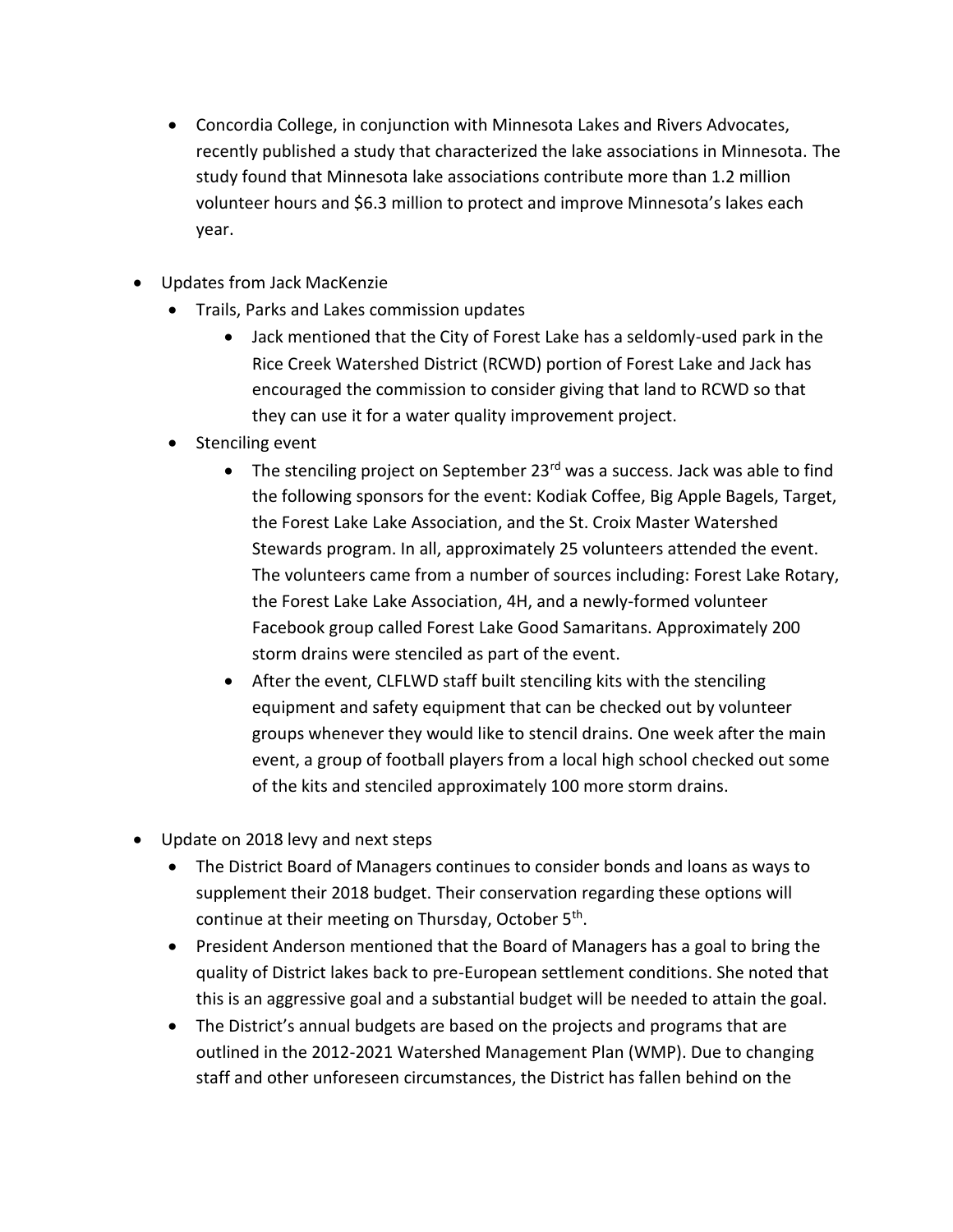- Concordia College, in conjunction with Minnesota Lakes and Rivers Advocates, recently published a study that characterized the lake associations in Minnesota. The study found that Minnesota lake associations contribute more than 1.2 million volunteer hours and \$6.3 million to protect and improve Minnesota's lakes each year.
- Updates from Jack MacKenzie
	- Trails, Parks and Lakes commission updates
		- Jack mentioned that the City of Forest Lake has a seldomly-used park in the Rice Creek Watershed District (RCWD) portion of Forest Lake and Jack has encouraged the commission to consider giving that land to RCWD so that they can use it for a water quality improvement project.
	- Stenciling event
		- $\bullet$  The stenciling project on September 23<sup>rd</sup> was a success. Jack was able to find the following sponsors for the event: Kodiak Coffee, Big Apple Bagels, Target, the Forest Lake Lake Association, and the St. Croix Master Watershed Stewards program. In all, approximately 25 volunteers attended the event. The volunteers came from a number of sources including: Forest Lake Rotary, the Forest Lake Lake Association, 4H, and a newly-formed volunteer Facebook group called Forest Lake Good Samaritans. Approximately 200 storm drains were stenciled as part of the event.
		- After the event, CLFLWD staff built stenciling kits with the stenciling equipment and safety equipment that can be checked out by volunteer groups whenever they would like to stencil drains. One week after the main event, a group of football players from a local high school checked out some of the kits and stenciled approximately 100 more storm drains.
- Update on 2018 levy and next steps
	- The District Board of Managers continues to consider bonds and loans as ways to supplement their 2018 budget. Their conservation regarding these options will continue at their meeting on Thursday, October 5<sup>th</sup>.
	- President Anderson mentioned that the Board of Managers has a goal to bring the quality of District lakes back to pre-European settlement conditions. She noted that this is an aggressive goal and a substantial budget will be needed to attain the goal.
	- The District's annual budgets are based on the projects and programs that are outlined in the 2012-2021 Watershed Management Plan (WMP). Due to changing staff and other unforeseen circumstances, the District has fallen behind on the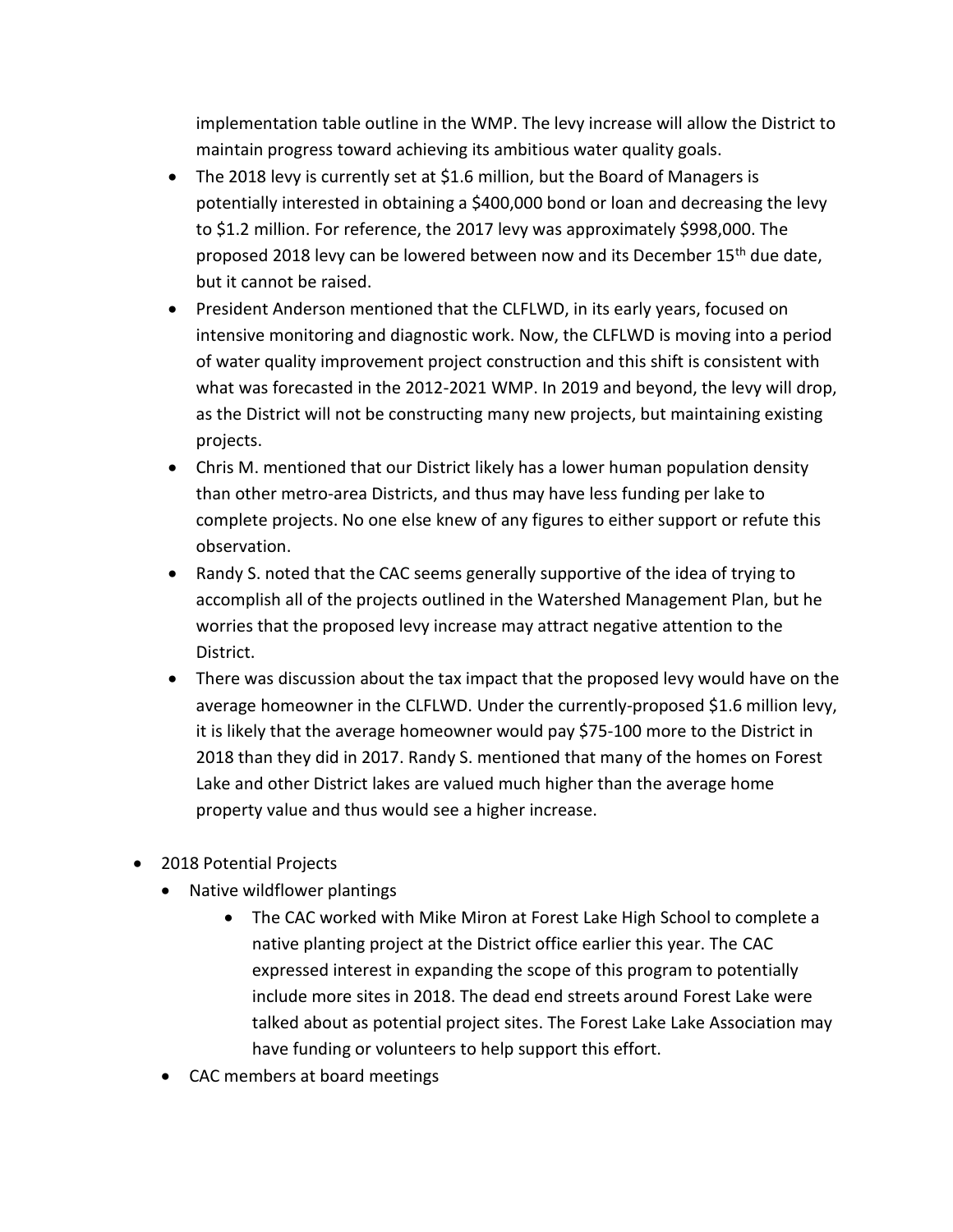implementation table outline in the WMP. The levy increase will allow the District to maintain progress toward achieving its ambitious water quality goals.

- The 2018 levy is currently set at \$1.6 million, but the Board of Managers is potentially interested in obtaining a \$400,000 bond or loan and decreasing the levy to \$1.2 million. For reference, the 2017 levy was approximately \$998,000. The proposed 2018 levy can be lowered between now and its December 15<sup>th</sup> due date, but it cannot be raised.
- President Anderson mentioned that the CLFLWD, in its early years, focused on intensive monitoring and diagnostic work. Now, the CLFLWD is moving into a period of water quality improvement project construction and this shift is consistent with what was forecasted in the 2012-2021 WMP. In 2019 and beyond, the levy will drop, as the District will not be constructing many new projects, but maintaining existing projects.
- Chris M. mentioned that our District likely has a lower human population density than other metro-area Districts, and thus may have less funding per lake to complete projects. No one else knew of any figures to either support or refute this observation.
- Randy S. noted that the CAC seems generally supportive of the idea of trying to accomplish all of the projects outlined in the Watershed Management Plan, but he worries that the proposed levy increase may attract negative attention to the District.
- There was discussion about the tax impact that the proposed levy would have on the average homeowner in the CLFLWD. Under the currently-proposed \$1.6 million levy, it is likely that the average homeowner would pay \$75-100 more to the District in 2018 than they did in 2017. Randy S. mentioned that many of the homes on Forest Lake and other District lakes are valued much higher than the average home property value and thus would see a higher increase.
- 2018 Potential Projects
	- Native wildflower plantings
		- The CAC worked with Mike Miron at Forest Lake High School to complete a native planting project at the District office earlier this year. The CAC expressed interest in expanding the scope of this program to potentially include more sites in 2018. The dead end streets around Forest Lake were talked about as potential project sites. The Forest Lake Lake Association may have funding or volunteers to help support this effort.
	- CAC members at board meetings